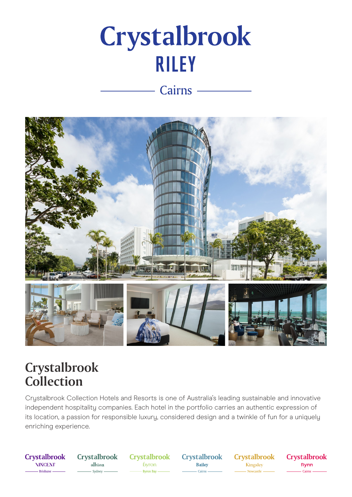# Crystalbrook **RILEY**

### Cairns -



## Crystalbrook Collection

Crystalbrook Collection Hotels and Resorts is one of Australia's leading sustainable and innovative independent hospitality companies. Each hotel in the portfolio carries an authentic expression of its location, a passion for responsible luxury, considered design and a twinkle of fun for a uniquely enriching experience.

**Crystalbrook NINCENT** - Brisbane

**Crystalbrook** albion - Sydney -

**Crystalbrook b**yron Byron Bay -

**Crystalbrook** Bailey - Cairns

**Crystalbrook** Kingsley Newcastle

**Crystalbrook** flynn - Cairns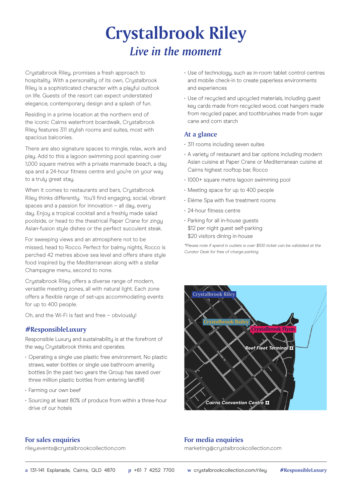# **Crystalbrook Riley** *Live in the moment*

Crystalbrook Riley, promises a fresh approach to hospitality. With a personality of its own, Crystalbrook Riley is a sophisticated character with a playful outlook on life. Guests of the resort can expect understated elegance, contemporary design and a splash of fun.

Residing in a prime location at the northern end of the iconic Cairns waterfront boardwalk, Crustalbrook Riley features 311 stylish rooms and suites, most with spacious balconies.

There are also signature spaces to mingle, relax, work and play. Add to this a lagoon swimming pool spanning over 1,000 square metres with a private manmade beach, a day spa and a 24-hour fitness centre and you're on your way to a truly great stay.

When it comes to restaurants and bars, Crystalbrook Riley thinks differently. You'll find engaging, social, vibrant spaces and a passion for innovation – all day, every day. Enjoy a tropical cocktail and a freshly made salad poolside, or head to the theatrical Paper Crane for zingy Asian-fusion style dishes or the perfect succulent steak.

For sweeping views and an atmosphere not to be missed, head to Rocco. Perfect for balmy nights, Rocco is perched 42 metres above sea level and offers share style food inspired by the Mediterranean along with a stellar Champagne menu, second to none.

Crystalbrook Riley offers a diverse range of modern, versatile meeting zones, all with natural light. Each zone offers a flexible range of set-ups accommodating events for up to 400 people.

Oh, and the Wi-Fi is fast and free – obviously!

#### **#ResponsibleLuxury**

Responsible Luxury and sustainability is at the forefront of the way Crystalbrook thinks and operates.

- Operating a single use plastic free environment. No plastic straws, water bottles or single use bathroom amenity bottles (in the past two years the Group has saved over three million plastic bottles from entering landfill)
- Farming our own beef
- Sourcing at least 80% of produce from within a three-hour drive of our hotels
- Use of technology, such as in-room tablet control centres and mobile check-in to create paperless environments and experiences
- Use of recycled and upcycled materials, including guest key cards made from recycled wood, coat hangers made from recycled paper, and toothbrushes made from sugar cane and corn starch

#### **At a glance**

- 311 rooms including seven suites
- A variety of restaurant and bar options including modern Asian cuisine at Paper Crane or Mediterranean cuisine at Cairns highest rooftop bar, Rocco
- 1000+ square metre lagoon swimming pool
- Meeting space for up to 400 people
- Eléme Spa with five treatment rooms
- 24-hour fitness centre
- Parking for all in-house guests \$12 per night guest self-parking \$20 visitors dining in-house

*\*Please note if spend in outlets is over \$100 ticket can be validated at the Curator Desk for free of charge parking*



#### **For sales enquiries**

riley.events@crystalbrookcollection.com

#### **For media enquiries**

marketing@crystalbrookcollection.com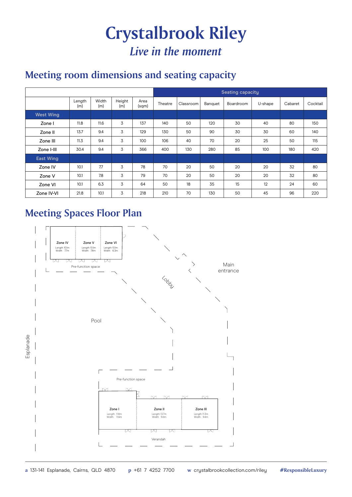# **Crystalbrook Riley** *Live in the moment*

### **Meeting room dimensions and seating capacity**

|                  |               |              |               |               | <b>Seating capacity</b> |           |         |           |         |         |          |
|------------------|---------------|--------------|---------------|---------------|-------------------------|-----------|---------|-----------|---------|---------|----------|
|                  | Length<br>(m) | Width<br>(m) | Height<br>(m) | Area<br>(sqm) | Theatre                 | Classroom | Banquet | Boardroom | U-shape | Cabaret | Cocktail |
| <b>West Wing</b> |               |              |               |               |                         |           |         |           |         |         |          |
| Zone I           | 11.8          | 11.6         | 3             | 137           | 140                     | 50        | 120     | 30        | 40      | 80      | 150      |
| Zone II          | 13.7          | 9.4          | 3             | 129           | 130                     | 50        | 90      | 30        | 30      | 60      | 140      |
| Zone III         | 11.3          | 9.4          | 3             | 100           | 106                     | 40        | 70      | 20        | 25      | 50      | 115      |
| Zone I-III       | 30.4          | 9.4          | 3             | 366           | 400                     | 130       | 280     | 85        | 100     | 180     | 420      |
| <b>East Wing</b> |               |              |               |               |                         |           |         |           |         |         |          |
| Zone IV          | 10.1          | 7.7          | 3             | 78            | 70                      | 20        | 50      | 20        | 20      | 32      | 80       |
| Zone V           | 10.1          | 7.8          | 3             | 79            | 70                      | 20        | 50      | 20        | 20      | 32      | 80       |
| Zone VI          | 10.1          | 6.3          | 3             | 64            | 50                      | 18        | 35      | 15        | 12      | 24      | 60       |
| Zone IV-VI       | 21.8          | 10.1         | 3             | 218           | 210                     | 70        | 130     | 50        | 45      | 96      | 220      |

### **Meeting Spaces Floor Plan**